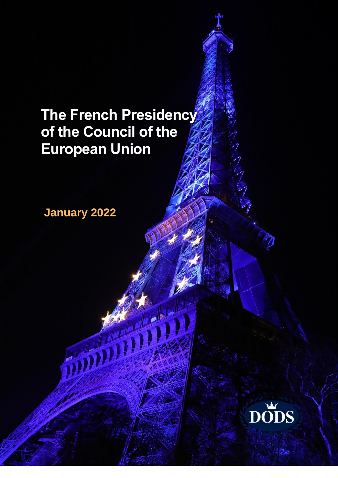# **The French Presidency of the Council of the European Union**

**January 2022**

**READER** 

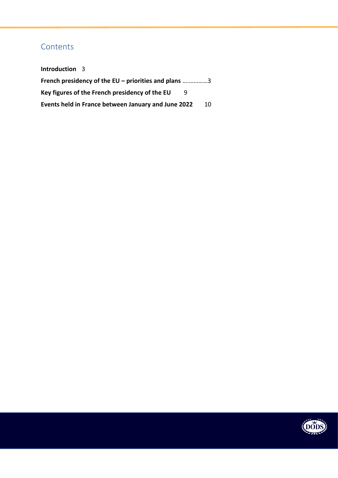## **Contents**

| <b>Introduction</b> 3                                |  |    |
|------------------------------------------------------|--|----|
| French presidency of the EU – priorities and plans 3 |  |    |
| Key figures of the French presidency of the EU       |  |    |
| Events held in France between January and June 2022  |  | 10 |

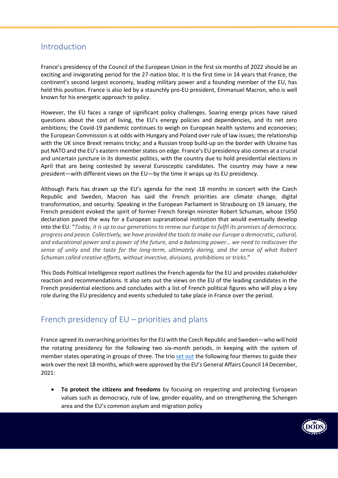## <span id="page-2-0"></span>Introduction

France's presidency of the Council of the European Union in the first six months of 2022 should be an exciting and invigorating period for the 27-nation bloc. It is the first time in 14 years that France, the continent's second largest economy, leading military power and a founding member of the EU, has held this position. France is also led by a staunchly pro-EU president, Emmanuel Macron, who is well known for his energetic approach to policy.

However, the EU faces a range of significant policy challenges. Soaring energy prices have raised questions about the cost of living, the EU's energy policies and dependencies, and its net zero ambitions; the Covid-19 pandemic continues to weigh on European health systems and economies; the European Commission is at odds with Hungary and Poland over rule of law issues; the relationship with the UK since Brexit remains tricky; and a Russian troop build-up on the border with Ukraine has put NATO and the EU's eastern member states on edge. France's EU presidency also comes at a crucial and uncertain juncture in its domestic politics, with the country due to hold presidential elections in April that are being contested by several Eurosceptic candidates. The country may have a new president—with different views on the EU—by the time it wraps up its EU presidency.

Although Paris has drawn up the EU's agenda for the next 18 months in concert with the Czech Republic and Sweden, Macron has said the French priorities are climate change, digital transformation, and security. Speaking in the European Parliament in Strasbourg on 19 January, the French president evoked the spirit of former French foreign minister Robert Schuman, whose 1950 declaration paved the way for a European supranational institution that would eventually develop into the EU: "*Today, it is up to our generations to renew our Europe to fulfil its promises of democracy, progress and peace. Collectively, we have provided the tools to make our Europe a democratic, cultural, and educational power and a power of the future, and a balancing power… we need to rediscover the sense of unity and the taste for the long-term, ultimately daring, and the sense of what Robert Schuman called creative efforts, without invective, divisions, prohibitions or tricks*."

This Dods Political Intelligence report outlines the French agenda for the EU and provides stakeholder reaction and recommendations. It also sets out the views on the EU of the leading candidates in the French presidential elections and concludes with a list of French political figures who will play a key role during the EU presidency and events scheduled to take place in France over the period.

## <span id="page-2-1"></span>French presidency of EU – priorities and plans

France agreed its overarching priorities for the EU with the Czech Republic and Sweden—who will hold the rotating presidency for the following two six-month periods, in keeping with the system of member states operating in groups of three. The trio [set out](https://presidence-francaise.consilium.europa.eu/media/l5fjwokc/trio-programme.pdf) the following four themes to guide their work over the next 18 months, which were approved by the EU's General Affairs Council 14 December, 2021:

• **To protect the citizens and freedoms** by focusing on respecting and protecting European values such as democracy, rule of law, gender equality, and on strengthening the Schengen area and the EU's common asylum and migration policy

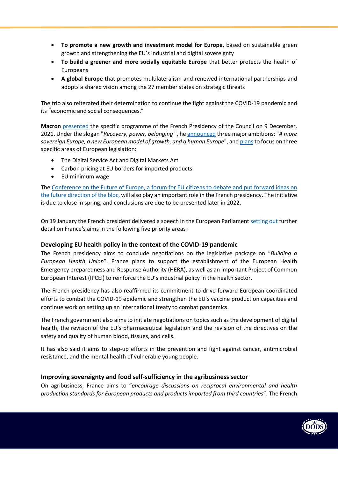- **To promote a new growth and investment model for Europe**, based on sustainable green growth and strengthening the EU's industrial and digital sovereignty
- **To build a greener and more socially equitable Europe** that better protects the health of Europeans
- **A global Europe** that promotes multilateralism and renewed international partnerships and adopts a shared vision among the 27 member states on strategic threats

The trio also reiterated their determination to continue the fight against the COVID-19 pandemic and its "economic and social consequences."

**Macron** [presented](https://www.elysee.fr/emmanuel-macron/2021/12/09/presentation-de-la-presidence-francaise-du-conseil-de-lunion-europeenne) the specific programme of the French Presidency of the Council on 9 December, 2021. Under the slogan "*Recovery, power, belonging* ", he [announced](https://presidence-francaise.consilium.europa.eu/media/qh4cg0qq/en_programme-pfue-v1-2.pdf) three major ambitions: "*A more sovereign Europe, a new European model of growth, and a human Europe*", an[d planst](https://www.elysee.fr/admin/upload/default/0001/12/26ab8ecefe7127e8fd3100f18dc4a38a16d47e69.pdf)o focus on three specific areas of European legislation:

- The Digital Service Act and Digital Markets Act
- Carbon pricing at EU borders for imported products
- EU minimum wage

The [Conference on the Future of Europe,](https://futureu.europa.eu/?locale=en) a forum for EU citizens to debate and put forward ideas on the future direction of the bloc, will also play an important role in the French presidency. The initiative is due to close in spring, and conclusions are due to be presented later in 2022.

On 19 January the French president delivered a speech in the European Parliamen[t setting](https://www.elysee.fr/emmanuel-macron/2022/01/19/discours-du-president-emmanuel-macron-devant-le-parlement-europeen) out further detail on France's aims in the following five priority areas :

#### **Developing EU health policy in the context of the COVID-19 pandemic**

The French presidency aims to conclude negotiations on the legislative package on "*Building a European Health Union*". France plans to support the establishment of the European Health Emergency preparedness and Response Authority (HERA), as well as an Important Project of Common European Interest (IPCEI) to reinforce the EU's industrial policy in the health sector.

The French presidency has also reaffirmed its commitment to drive forward European coordinated efforts to combat the COVID-19 epidemic and strengthen the EU's vaccine production capacities and continue work on setting up an international treaty to combat pandemics.

The French government also aims to initiate negotiations on topics such as the development of digital health, the revision of the EU's pharmaceutical legislation and the revision of the directives on the safety and quality of human blood, tissues, and cells.

It has also said it aims to step-up efforts in the prevention and fight against cancer, antimicrobial resistance, and the mental health of vulnerable young people.

#### **Improving sovereignty and food self-sufficiency in the agribusiness sector**

On agribusiness, France aims to "*encourage discussions on reciprocal environmental and health production standards for European products and products imported from third countries*". The French

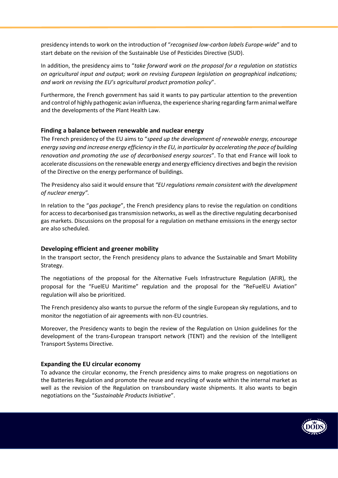presidency intends to work on the introduction of "*recognised low-carbon labels Europe-wide*" and to start debate on the revision of the Sustainable Use of Pesticides Directive (SUD).

In addition, the presidency aims to "*take forward work on the proposal for a regulation on statistics on agricultural input and output; work on revising European legislation on geographical indications; and work on revising the EU's agricultural product promotion policy*".

Furthermore, the French government has said it wants to pay particular attention to the prevention and control of highly pathogenic avian influenza, the experience sharing regarding farm animal welfare and the developments of the Plant Health Law.

#### **Finding a balance between renewable and nuclear energy**

The French presidency of the EU aims to "*speed up the development of renewable energy, encourage energy saving and increase energy efficiency in the EU, in particular by accelerating the pace of building renovation and promoting the use of decarbonised energy sources*". To that end France will look to accelerate discussions on the renewable energy and energy efficiency directives and begin the revision of the Directive on the energy performance of buildings.

The Presidency also said it would ensure that *"EU regulations remain consistent with the development of nuclear energy".*

In relation to the "*gas package*", the French presidency plans to revise the regulation on conditions for access to decarbonised gas transmission networks, as well as the directive regulating decarbonised gas markets. Discussions on the proposal for a regulation on methane emissions in the energy sector are also scheduled.

#### **Developing efficient and greener mobility**

In the transport sector, the French presidency plans to advance the Sustainable and Smart Mobility Strategy.

The negotiations of the proposal for the Alternative Fuels Infrastructure Regulation (AFIR), the proposal for the "FuelEU Maritime" regulation and the proposal for the "ReFuelEU Aviation" regulation will also be prioritized.

The French presidency also wants to pursue the reform of the single European sky regulations, and to monitor the negotiation of air agreements with non-EU countries.

Moreover, the Presidency wants to begin the review of the Regulation on Union guidelines for the development of the trans-European transport network (TENT) and the revision of the Intelligent Transport Systems Directive.

#### **Expanding the EU circular economy**

To advance the circular economy, the French presidency aims to make progress on negotiations on the Batteries Regulation and promote the reuse and recycling of waste within the internal market as well as the revision of the Regulation on transboundary waste shipments. It also wants to begin negotiations on the "*Sustainable Products Initiative*".

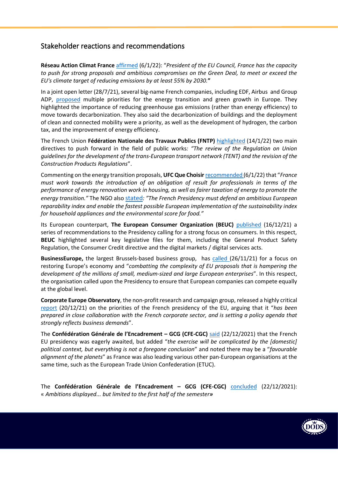### Stakeholder reactions and recommendations

**Réseau Action Climat France** [affirmed](https://reseauactionclimat.org/une-presidence-francaise-du-conseil-de-lunion-europeenne-pour-le-climat-oui-mais-comment/) (6/1/22): "*President of the EU Council, France has the capacity to push for strong proposals and ambitious compromises on the Green Deal, to meet or exceed the EU's climate target of reducing emissions by at least 55% by 2030.***"**

In a joint open letter (28/7/21), several big-name French companies, including EDF, Airbus and Group ADP, [proposed](https://www.equilibredesenergies.org/wp-content/uploads/2021/07/Lettre-ouverte-Presidence-francaise-du-Conseil-de-l-UE-medias.pdf) multiple priorities for the energy transition and green growth in Europe. They highlighted the importance of reducing greenhouse gas emissions (rather than energy efficiency) to move towards decarbonization. They also said the decarbonization of buildings and the deployment of clean and connected mobility were a priority, as well as the development of hydrogen, the carbon tax, and the improvement of energy efficiency.

The French Union **Fédération Nationale des Travaux Publics (FNTP)** [highlighted](https://www.fntp.fr/presse/communiques-de-presse/presidence-francaise-du-conseil-de-lunion-europeenne-les-axes) (14/1/22) two main directives to push forward in the field of public works*: "The review of the Regulation on Union guidelines for the development of the trans-European transport network (TENT) and the revision of the Construction Products Regulations*".

Commenting on the energy transition proposals, **UFC Que Choisir** [recommended](https://www.quechoisir.org/action-ufc-que-choisir-presidence-francaise-du-conseil-de-l-ue-l-ufc-que-choisir-publie-sa-feuille-de-route-n97636/) (6/1/22) that "*France must work towards the introduction of an obligation of result for professionals in terms of the performance of energy renovation work in housing, as well as fairer taxation of energy to promote the energy transition."* The NGO also [stated](https://www.quechoisir.org/action-ufc-que-choisir-presidence-francaise-du-conseil-de-l-ue-l-ufc-que-choisir-publie-sa-feuille-de-route-n97636/)*: "The French Presidency must defend an ambitious European reparability index and enable the fastest possible European implementation of the sustainability index for household appliances and the environmental score for food."*

Its European counterpart, **The European Consumer Organization (BEUC)** [published](https://www.beuc.eu/press-media/news-events/french-presidency-eu-what-stake-consumers) (16/12/21) a series of recommendations to the Presidency calling for a strong focus on consumers. In this respect, **BEUC** highlighted several key legislative files for them, including the General Product Safety Regulation, the Consumer Credit directive and the digital markets / digital services acts.

**BusinessEurope,** the largest Brussels-based business group, has [called](https://www.businesseurope.eu/publications/paris-declaration-businesseuropes-council-presidents) (26/11/21) for a focus on restoring Europe's economy and "*combatting the complexity of EU proposals that is hampering the development of the millions of small, medium-sized and large European enterprises*". In this respect, the organisation called upon the Presidency to ensure that European companies can compete equally at the global level.

**Corporate Europe Observatory**, the non-profit research and campaign group, released a highly critical [report](https://corporateeurope.org/en/under-influence-distorted-priorities) (20/12/21) on the priorities of the French presidency of the EU, arguing that it "*has been prepared in close collaboration with the French corporate sector, and is setting a policy agenda that strongly reflects business demands*".

The **Confédération Générale de l'Encadrement – GCG (CFE-CGC)** [said](https://www.cfecgc.org/actualites/que-peut-on-attendre-de-la-presidence-francaise-de-lue) (22/12/2021) that the French EU presidency was eagerly awaited, but added "*the exercise will be complicated by the [domestic] political context, but everything is not a foregone conclusion*" and noted there may be a "*favourable alignment of the planets*" as France was also leading various other pan-European organisations at the same time, such as the European Trade Union Confederation (ETUC).

The **Confédération Générale de l'Encadrement – GCG (CFE-CGC)** [concluded](https://www.cfecgc.org/actualites/que-peut-on-attendre-de-la-presidence-francaise-de-lue) (22/12/2021): « *Ambitions displayed... but limited to the first half of the semester»*

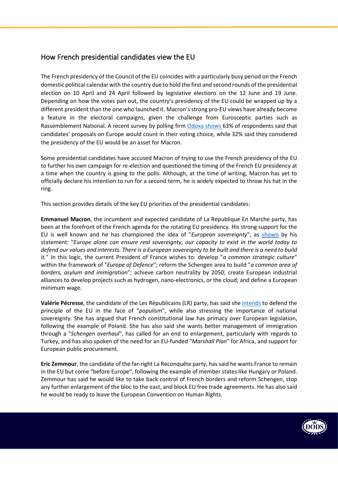## How French presidential candidates view the EU

The French presidency of the Council of the EU coincides with a particularly busy period on the French domestic political calendar with the country due to hold the first and second rounds of the presidential election on 10 April and 24 April followed by legislative elections on the 12 June and 19 June. Depending on how the votes pan out, the country's presidency of the EU could be wrapped up by a different president than the one who launched it. Macron's strong pro-EU views have already become a feature in the electoral campaigns, given the challenge from Eurosceptic parties such as Rassemblement National. A recent survey by polling firm [Odoxa](http://www.odoxa.fr/sondage/emmanuel-macron-pourrait-marquer-des-points-a-loccasion-de-la-presidence-francaise-de-lue-mais-il-lui-faudra-prendre-position-sur-des-sujets-epineux/) shows 63% of respondents said that candidates' proposals on Europe would count in their voting choice, while 32% said they considered the presidency of the EU would be an asset for Macron.

Some presidential candidates have accused Macron of trying to use the French presidency of the EU to further his own campaign for re-election and questioned the timing of the French EU presidency at a time when the country is going to the polls. Although, at the time of writing, Macron has yet to officially declare his intention to run for a second term, he is widely expected to throw his hat in the ring.

This section provides details of the key EU priorities of the presidential candidates:

**Emmanuel Macron**, the incumbent and expected candidate of La Republique En Marche party, has been at the forefront of the French agenda for the rotating EU presidency. His strong support for the EU is well known and he has championed the idea of "*European sovereignty*", as [shown](https://www.elysee.fr/emmanuel-macron/europe) by his statement: "*Europe alone can ensure real sovereignty, our capacity to exist in the world today to defend our values and interests. There is a European sovereignty to be built and there is a need to build it.*" In this logic, the current President of France wishes to: develop "*a common strategic culture*" within the framework of "*Europe of Defence*"; reform the Schengen area to build "*a common area of borders, asylum and immigration*"; achieve carbon neutrality by 2050; create European industrial alliances to develop projects such as hydrogen, nano-electronics, or the cloud; and define a European minimum wage.

**Valérie Pécresse**, the candidate of the Les Républicains (LR) party, has said she [intends](https://www.valeriepecresse.fr/mon-projet/) to defend the principle of the EU in the face of "*populism*", while also stressing the importance of national sovereignty. She has argued that French constitutional law has primacy over European legislation, following the example of Poland. She has also said she wants better management of immigration through a "*Schengen overhaul*", has called for an end to enlargement, particularly with regards to Turkey, and has also spoken of the need for an EU-funded "*Marshall Plan*" for Africa, and support for European public procurement.

**Eric Zemmour**, the candidate of the far-right La Reconquête party, has said he wants France to remain in the EU but come "before Europe", following the example of member states like Hungary or Poland. Zemmour has said he would like to take back control of French borders and reform Schengen, stop any further enlargement of the bloc to the east, and block EU free trade agreements. He has also said he would be ready to leave the European Convention on Human Rights.

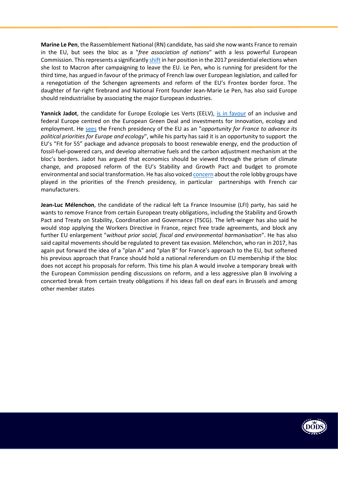**Marine Le Pen**, the Rassemblement National (RN) candidate, has said she now wants France to remain in the EU, but sees the bloc as a "*free association of nations*" with a less powerful European Commission. This represents a significantl[y shift](https://rassemblementnational.fr/telecharger/publications/programme-euro2019.pdf) in her position in the 2017 presidential elections when she lost to Macron after campaigning to leave the EU. Le Pen, who is running for president for the third time, has argued in favour of the primacy of French law over European legislation, and called for a renegotiation of the Schengen agreements and reform of the EU's Frontex border force. The daughter of far-right firebrand and National Front founder Jean-Marie Le Pen, has also said Europe should reindustrialise by associating the major European industries.

**Yannick Jadot**, the candidate for Europe Ecologie Les Verts (EELV), [is in favour](https://www.eelv.fr/bienvivre/leurope-dans-le-monde/leurope-que-nous-voulons/) of an inclusive and federal Europe centred on the European Green Deal and investments for innovation, ecology and employment. He [sees](http://yannickjadot.fr/une-presidence-francaise-de-lunion-europeenne-ecologiste/) the French presidency of the EU as an "*opportunity for France to advance its political priorities for Europe and ecology*", while his party has said it is an opportunity to support the EU's "Fit for 55" package and advance proposals to boost renewable energy, end the production of fossil-fuel-powered cars, and develop alternative fuels and the carbon adjustment mechanism at the bloc's borders. Jadot has argued that economics should be viewed through the prism of climate change, and proposed reform of the EU's Stability and Growth Pact and budget to promote environmental and social transformation. He has also voice[d concern](http://yannickjadot.fr/la-pfue-la-france-ne-doit-pas-mettre-lunion-europeenne-au-service-des-interets-prives/) about the role lobby groups have played in the priorities of the French presidency, in particular partnerships with French car manufacturers.

**Jean-Luc Mélenchon**, the candidate of the radical left La France Insoumise (LFI) party, has said he wants to remove France from certain European treaty obligations, including the Stability and Growth Pact and Treaty on Stability, Coordination and Governance (TSCG). The left-winger has also said he would stop applying the Workers Directive in France, reject free trade agreements, and block any further EU enlargement "*without prior social, fiscal and environmental harmonisation*". He has also said capital movements should be regulated to prevent tax evasion. Mélenchon, who ran in 2017, has again put forward the idea of a "plan A" and "plan B" for France's approach to the EU, but softened his previous approach that France should hold a national referendum on EU membership if the bloc does not accept his proposals for reform. This time his plan A would involve a temporary break with the European Commission pending discussions on reform, and a less aggressive plan B involving a concerted break from certain treaty obligations if his ideas fall on deaf ears in Brussels and among other member states

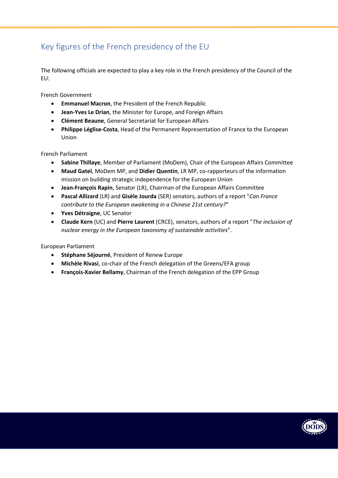# <span id="page-8-0"></span>Key figures of the French presidency of the EU

The following officials are expected to play a key role in the French presidency of the Council of the EU:

French Government

- **Emmanuel Macron**, the President of the French Republic
- **Jean-Yves Le Drian**, the Minister for Europe, and Foreign Affairs
- **Clément Beaune**, General Secretariat for European Affairs
- **Philippe Léglise-Costa**, Head of the Permanent Representation of France to the European Union

French Parliament

- **Sabine Thillaye**, Member of Parliament (MoDem), Chair of the European Affairs Committee
- **Maud Gatel**, MoDem MP, and **Didier Quentin**, LR MP, co-rapporteurs of the information mission on building strategic independence for the European Union
- **Jean-François Rapin**, Senator (LR), Chairman of the European Affairs Committee
- **Pascal Allizard** (LR) and **Gisèle Jourda** (SER) senators, authors of a report "*Can France contribute to the European awakening in a Chinese 21st century?*"
- **Yves Détraigne**, UC Senator
- **Claude Kern** (UC) and **Pierre Laurent** (CRCE), senators, authors of a report "*The inclusion of nuclear energy in the European taxonomy of sustainable activities*".

European Parliament

- **Stéphane Séjourné**, President of Renew Europe
- **Michèle Rivasi**, co-chair of the French delegation of the Greens/EFA group
- **François-Xavier Bellamy**, Chairman of the French delegation of the EPP Group